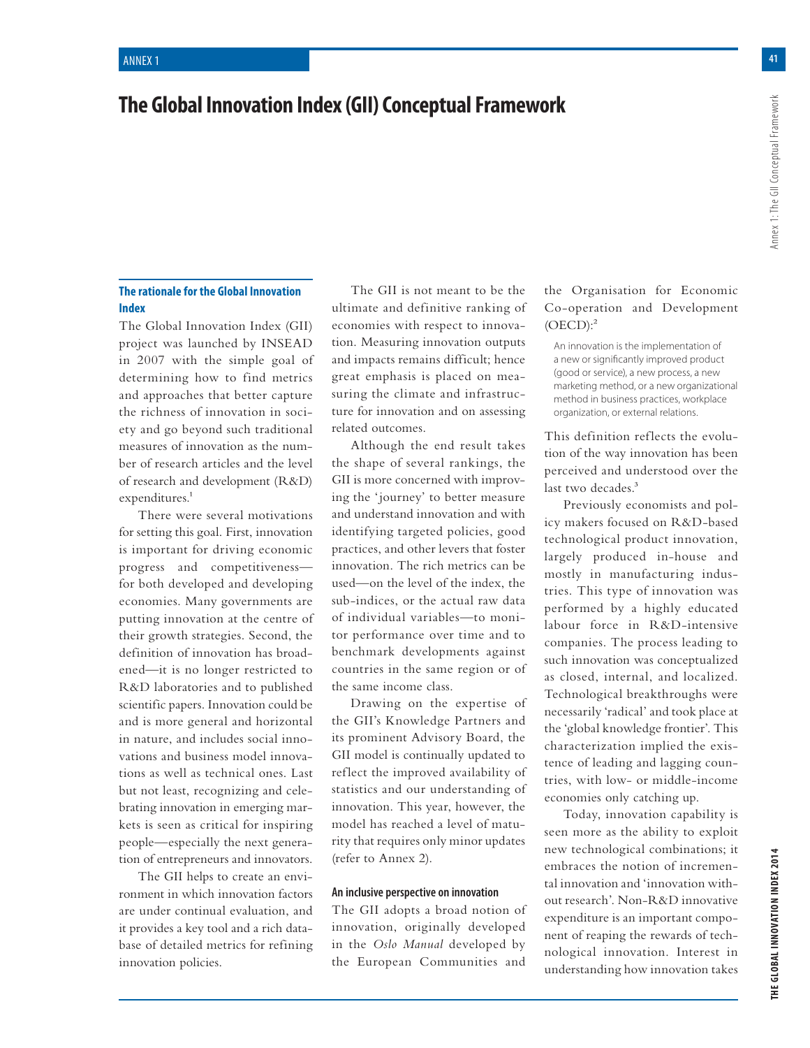# **The Global Innovation Index (GII) Conceptual Framework**

# **The rationale for the Global Innovation Index**

The Global Innovation Index (GII) project was launched by INSEAD in 2007 with the simple goal of determining how to find metrics and approaches that better capture the richness of innovation in society and go beyond such traditional measures of innovation as the number of research articles and the level of research and development (R&D) expenditures.<sup>1</sup>

There were several motivations for setting this goal. First, innovation is important for driving economic progress and competitiveness for both developed and developing economies. Many governments are putting innovation at the centre of their growth strategies. Second, the definition of innovation has broadened—it is no longer restricted to R&D laboratories and to published scientific papers. Innovation could be and is more general and horizontal in nature, and includes social innovations and business model innovations as well as technical ones. Last but not least, recognizing and celebrating innovation in emerging markets is seen as critical for inspiring people—especially the next generation of entrepreneurs and innovators.

The GII helps to create an environment in which innovation factors are under continual evaluation, and it provides a key tool and a rich database of detailed metrics for refining innovation policies.

The GII is not meant to be the ultimate and definitive ranking of economies with respect to innovation. Measuring innovation outputs and impacts remains difficult; hence great emphasis is placed on measuring the climate and infrastructure for innovation and on assessing related outcomes.

Although the end result takes the shape of several rankings, the GII is more concerned with improving the 'journey' to better measure and understand innovation and with identifying targeted policies, good practices, and other levers that foster innovation. The rich metrics can be used—on the level of the index, the sub-indices, or the actual raw data of individual variables—to monitor performance over time and to benchmark developments against countries in the same region or of the same income class.

Drawing on the expertise of the GII's Knowledge Partners and its prominent Advisory Board, the GII model is continually updated to reflect the improved availability of statistics and our understanding of innovation. This year, however, the model has reached a level of maturity that requires only minor updates (refer to Annex 2).

### **An inclusive perspective on innovation**

The GII adopts a broad notion of innovation, originally developed in the *Oslo Manual* developed by the European Communities and

# the Organisation for Economic Co-operation and Development  $(OECD):<sup>2</sup>$

An innovation is the implementation of a new or significantly improved product (good or service), a new process, a new marketing method, or a new organizational method in business practices, workplace organization, or external relations.

This definition reflects the evolution of the way innovation has been perceived and understood over the last two decades.<sup>3</sup>

Previously economists and policy makers focused on R&D-based technological product innovation, largely produced in-house and mostly in manufacturing industries. This type of innovation was performed by a highly educated labour force in R&D-intensive companies. The process leading to such innovation was conceptualized as closed, internal, and localized. Technological breakthroughs were necessarily 'radical' and took place at the 'global knowledge frontier'. This characterization implied the existence of leading and lagging countries, with low- or middle-income economies only catching up.

Today, innovation capability is seen more as the ability to exploit new technological combinations; it embraces the notion of incremental innovation and 'innovation without research'. Non-R&D innovative expenditure is an important component of reaping the rewards of technological innovation. Interest in understanding how innovation takes Annex 1: The GII Conceptual Framework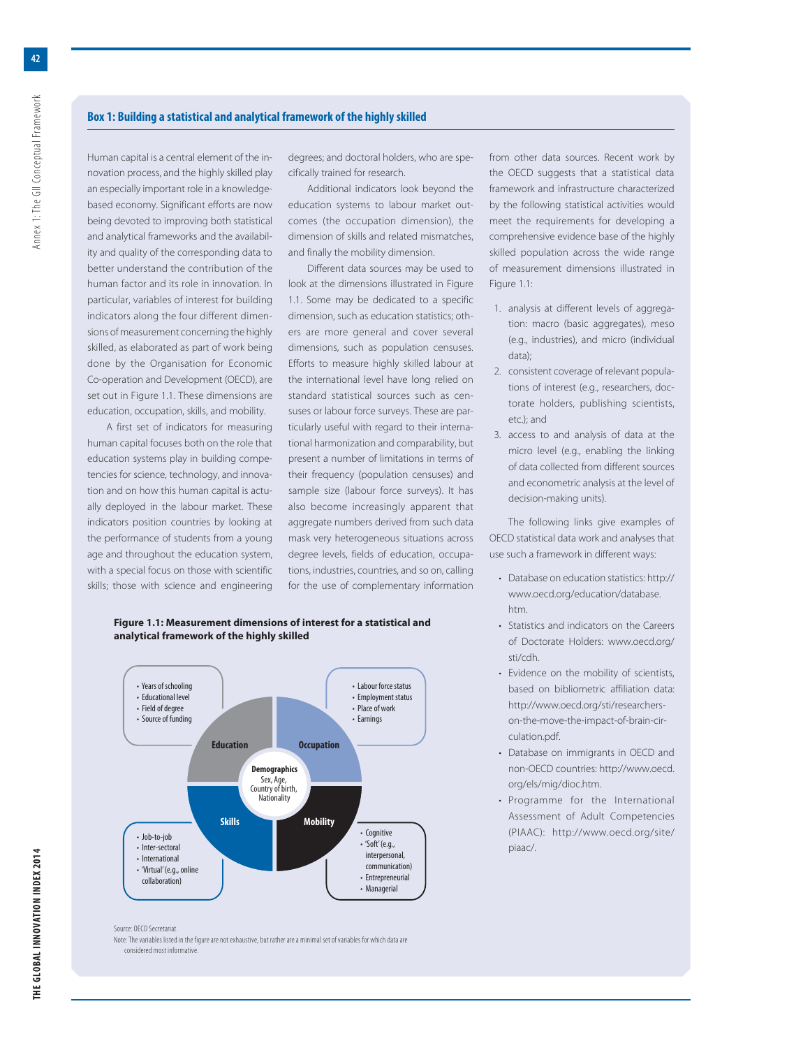# **Box 1: Building a statistical and analytical framework of the highly skilled**

Human capital is a central element of the innovation process, and the highly skilled play an especially important role in a knowledgebased economy. Significant efforts are now being devoted to improving both statistical and analytical frameworks and the availability and quality of the corresponding data to better understand the contribution of the human factor and its role in innovation. In particular, variables of interest for building indicators along the four different dimensions of measurement concerning the highly skilled, as elaborated as part of work being done by the Organisation for Economic Co-operation and Development (OECD), are set out in Figure 1.1. These dimensions are education, occupation, skills, and mobility.

A first set of indicators for measuring human capital focuses both on the role that education systems play in building competencies for science, technology, and innovation and on how this human capital is actually deployed in the labour market. These indicators position countries by looking at the performance of students from a young age and throughout the education system, with a special focus on those with scientific skills; those with science and engineering

degrees; and doctoral holders, who are specifically trained for research.

Additional indicators look beyond the education systems to labour market outcomes (the occupation dimension), the dimension of skills and related mismatches, and finally the mobility dimension.

Different data sources may be used to look at the dimensions illustrated in Figure 1.1. Some may be dedicated to a specific dimension, such as education statistics; others are more general and cover several dimensions, such as population censuses. Efforts to measure highly skilled labour at the international level have long relied on standard statistical sources such as censuses or labour force surveys. These are particularly useful with regard to their international harmonization and comparability, but present a number of limitations in terms of their frequency (population censuses) and sample size (labour force surveys). It has also become increasingly apparent that aggregate numbers derived from such data mask very heterogeneous situations across degree levels, fields of education, occupations, industries, countries, and so on, calling for the use of complementary information

from other data sources. Recent work by the OECD suggests that a statistical data framework and infrastructure characterized by the following statistical activities would meet the requirements for developing a comprehensive evidence base of the highly skilled population across the wide range of measurement dimensions illustrated in Figure 1.1:

- 1. analysis at different levels of aggregation: macro (basic aggregates), meso (e.g., industries), and micro (individual data);
- 2. consistent coverage of relevant populations of interest (e.g., researchers, doctorate holders, publishing scientists,  $etc.$ ); and
- 3. access to and analysis of data at the micro level (e.g., enabling the linking of data collected from different sources and econometric analysis at the level of decision-making units).

The following links give examples of OECD statistical data work and analyses that use such a framework in different ways:

- Database on education statistics: http:// www.oecd.org/education/database. htm.
- Statistics and indicators on the Careers of Doctorate Holders: www.oecd.org/ sti/cdh.
- Evidence on the mobility of scientists, based on bibliometric affiliation data: http://www.oecd.org/sti/researcherson-the-move-the-impact-of-brain-circulation.pdf.
- Database on immigrants in OECD and non-OECD countries: http://www.oecd. org/els/mig/dioc.htm.
- Programme for the International Assessment of Adult Competencies (PIAAC): http://www.oecd.org/site/ piaac/.

#### **Figure 1.1: Measurement dimensions of interest for a statistical and analytical framework of the highly skilled**



Source: OECD Secretariat.

Note: The variables listed in the figure are not exhaustive, but rather are a minimal set of variables for which data are considered most informative.

Annex 1: The GII Conceptual Framework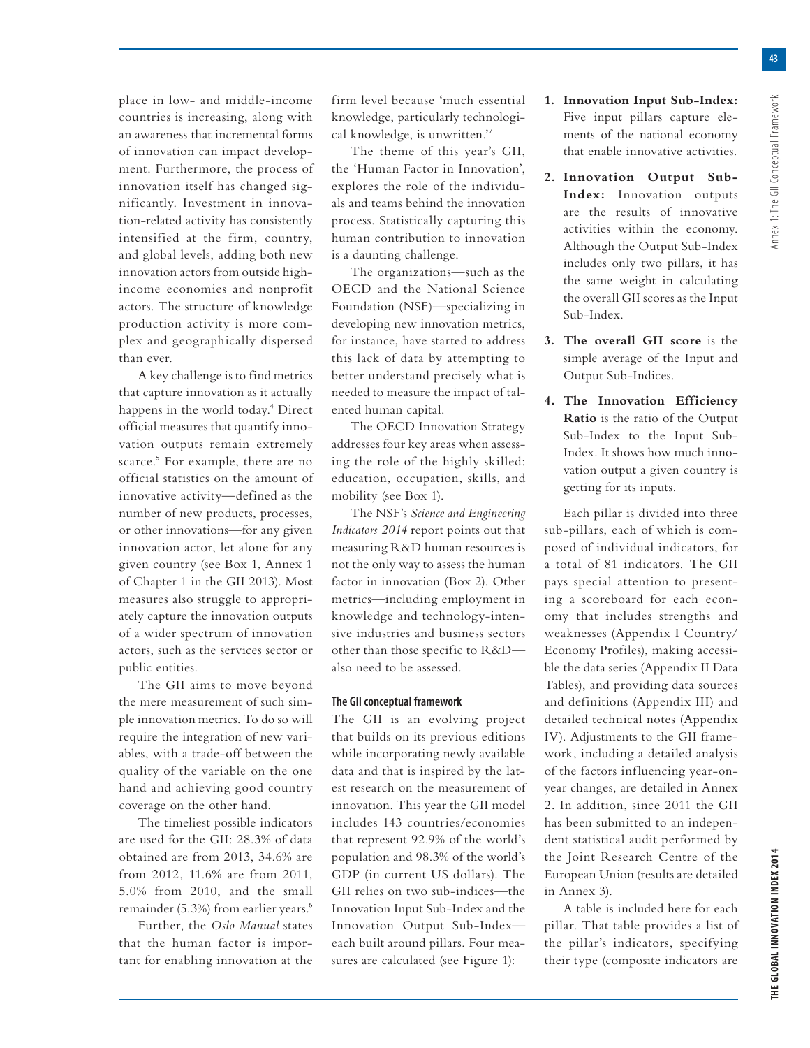place in low- and middle-income countries is increasing, along with an awareness that incremental forms of innovation can impact development. Furthermore, the process of innovation itself has changed significantly. Investment in innovation-related activity has consistently intensified at the firm, country, and global levels, adding both new innovation actors from outside highincome economies and nonprofit actors. The structure of knowledge production activity is more complex and geographically dispersed than ever.

A key challenge is to find metrics that capture innovation as it actually happens in the world today.<sup>4</sup> Direct official measures that quantify innovation outputs remain extremely scarce.<sup>5</sup> For example, there are no official statistics on the amount of innovative activity—defined as the number of new products, processes, or other innovations—for any given innovation actor, let alone for any given country (see Box 1, Annex 1 of Chapter 1 in the GII 2013). Most measures also struggle to appropriately capture the innovation outputs of a wider spectrum of innovation actors, such as the services sector or public entities.

The GII aims to move beyond the mere measurement of such simple innovation metrics. To do so will require the integration of new variables, with a trade-off between the quality of the variable on the one hand and achieving good country coverage on the other hand.

The timeliest possible indicators are used for the GII: 28.3% of data obtained are from 2013, 34.6% are from 2012, 11.6% are from 2011, 5.0% from 2010, and the small remainder (5.3%) from earlier years.<sup>6</sup>

Further, the *Oslo Manual* states that the human factor is important for enabling innovation at the firm level because 'much essential knowledge, particularly technological knowledge, is unwritten.'7

The theme of this year's GII, the 'Human Factor in Innovation', explores the role of the individuals and teams behind the innovation process. Statistically capturing this human contribution to innovation is a daunting challenge.

The organizations—such as the OECD and the National Science Foundation (NSF)—specializing in developing new innovation metrics, for instance, have started to address this lack of data by attempting to better understand precisely what is needed to measure the impact of talented human capital.

The OECD Innovation Strategy addresses four key areas when assessing the role of the highly skilled: education, occupation, skills, and mobility (see Box 1).

The NSF's *Science and Engineering Indicators 2014* report points out that measuring R&D human resources is not the only way to assess the human factor in innovation (Box 2). Other metrics—including employment in knowledge and technology-intensive industries and business sectors other than those specific to R&D also need to be assessed.

## **The GII conceptual framework**

The GII is an evolving project that builds on its previous editions while incorporating newly available data and that is inspired by the latest research on the measurement of innovation. This year the GII model includes 143 countries/economies that represent 92.9% of the world's population and 98.3% of the world's GDP (in current US dollars). The GII relies on two sub-indices—the Innovation Input Sub-Index and the Innovation Output Sub-Index each built around pillars. Four measures are calculated (see Figure 1):

- **1. Innovation Input Sub-Index:** Five input pillars capture elements of the national economy that enable innovative activities.
- **2. Innovation Output Sub-Index:** Innovation outputs are the results of innovative activities within the economy. Although the Output Sub-Index includes only two pillars, it has the same weight in calculating the overall GII scores as the Input Sub-Index.
- **3. The overall GII score** is the simple average of the Input and Output Sub-Indices.
- **4. The Innovation Efficiency Ratio** is the ratio of the Output Sub-Index to the Input Sub-Index. It shows how much innovation output a given country is getting for its inputs.

Each pillar is divided into three sub-pillars, each of which is composed of individual indicators, for a total of 81 indicators. The GII pays special attention to presenting a scoreboard for each economy that includes strengths and weaknesses (Appendix I Country/ Economy Profiles), making accessible the data series (Appendix II Data Tables), and providing data sources and definitions (Appendix III) and detailed technical notes (Appendix IV). Adjustments to the GII framework, including a detailed analysis of the factors influencing year-onyear changes, are detailed in Annex 2. In addition, since 2011 the GII has been submitted to an independent statistical audit performed by the Joint Research Centre of the European Union (results are detailed in Annex 3).

A table is included here for each pillar. That table provides a list of the pillar's indicators, specifying their type (composite indicators are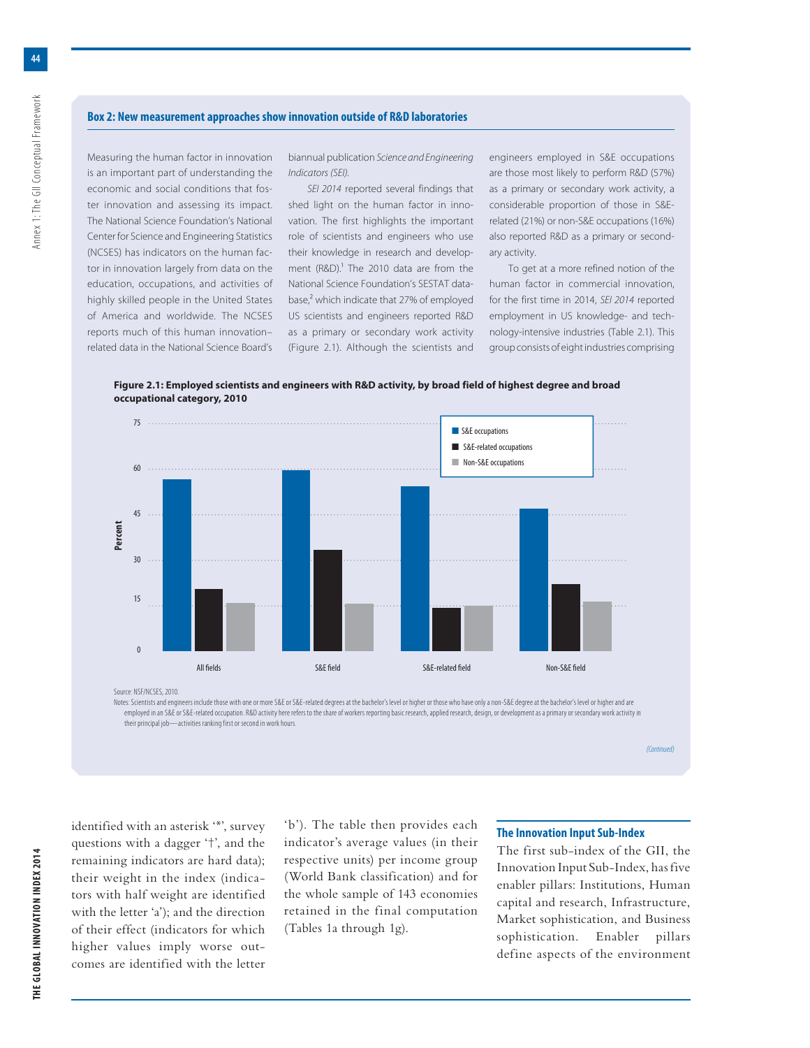#### **Box 2: New measurement approaches show innovation outside of R&D laboratories**

Measuring the human factor in innovation is an important part of understanding the economic and social conditions that foster innovation and assessing its impact. The National Science Foundation's National Center for Science and Engineering Statistics (NCSES) has indicators on the human factor in innovation largely from data on the education, occupations, and activities of highly skilled people in the United States of America and worldwide. The NCSES reports much of this human innovation– related data in the National Science Board's

biannual publication Science and Engineering Indicators (SEI).

SEI 2014 reported several findings that shed light on the human factor in innovation. The first highlights the important role of scientists and engineers who use their knowledge in research and development (R&D). $<sup>1</sup>$  The 2010 data are from the</sup> National Science Foundation's SESTAT database,<sup>2</sup> which indicate that 27% of employed US scientists and engineers reported R&D as a primary or secondary work activity (Figure 2.1). Although the scientists and engineers employed in S&E occupations are those most likely to perform R&D (57%) as a primary or secondary work activity, a considerable proportion of those in S&Erelated (21%) or non-S&E occupations (16%) also reported R&D as a primary or secondary activity.

To get at a more refined notion of the human factor in commercial innovation, for the first time in 2014, SEI 2014 reported employment in US knowledge- and technology-intensive industries (Table 2.1). This group consists of eight industries comprising

**Figure 2.1: Employed scientists and engineers with R&D activity, by broad field of highest degree and broad occupational category, 2010**



Source: NSF/NCSES, 2010.

Notes: Scientists and engineers include those with one or more S&E or S&E-related degrees at the bachelor's level or higher or those who have only a non-S&E degree at the bachelor's level or higher and are employed in an S&E or S&E-related occupation. R&D activity here refers to the share of workers reporting basic research, applied research, design, or development as a primary or secondary work activity in their principal job—activities ranking first or second in work hours.

(Continued)

**THE GLOBAL INNOVATION INDEX 2014** Annex 1: The GII Conceptual Framework **THE GLOBAL INNOVATION INDEX 2014** 

identified with an asterisk '\*', survey questions with a dagger '†', and the remaining indicators are hard data); their weight in the index (indicators with half weight are identified with the letter 'a'); and the direction of their effect (indicators for which higher values imply worse outcomes are identified with the letter 'b'). The table then provides each indicator's average values (in their respective units) per income group (World Bank classification) and for the whole sample of 143 economies retained in the final computation (Tables 1a through 1g).

#### **The Innovation Input Sub-Index**

The first sub-index of the GII, the Innovation Input Sub-Index, has five enabler pillars: Institutions, Human capital and research, Infrastructure, Market sophistication, and Business sophistication. Enabler pillars define aspects of the environment

Annex 1: The GII Conceptual Framework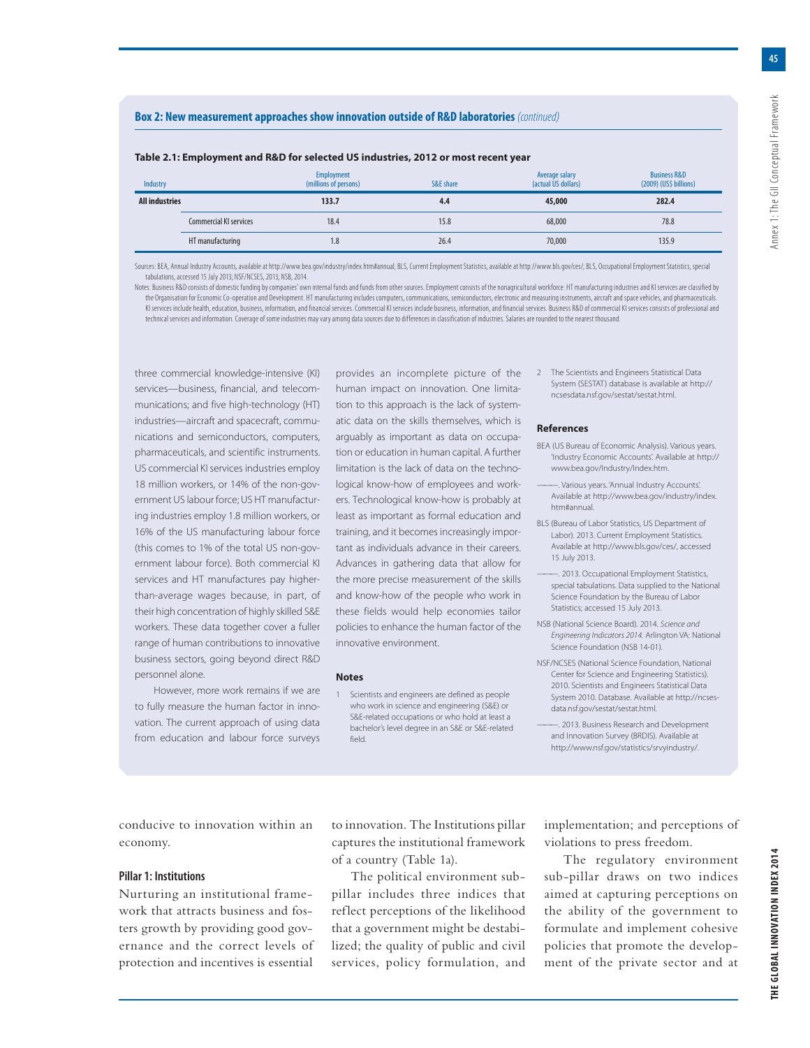**45**

## **Box 2: New measurement approaches show innovation outside of R&D laboratories** (continued)

| Table 2.1: Employment and R&D for selected US industries, 2012 or most recent year |
|------------------------------------------------------------------------------------|
|------------------------------------------------------------------------------------|

| Industry              |                               | <b>Employment</b><br>(millions of persons) | S&E share | Average salary<br>(actual US dollars) | <b>Business R&amp;D</b><br>$(2009)$ (US\$ billions) |
|-----------------------|-------------------------------|--------------------------------------------|-----------|---------------------------------------|-----------------------------------------------------|
| <b>All industries</b> |                               | 133.7                                      | 4.4       | 45,000                                | 282.4                                               |
|                       | <b>Commercial KI services</b> | 18.4                                       | 15.8      | 68,000                                | 78.8                                                |
|                       | HT manufacturing              | 1.8                                        | 26.4      | 70,000                                | 135.9                                               |

Sources: BEA, Annual Industry Accounts, available at http://www.bea.gov/industry/index.htm#annual; BLS, Current Employment Statistics, available at http://www.bls.gov/ces/; BLS, Occupational Employment Statistics, special tabulations, accessed 15 July 2013; NSF/NCSES, 2013; NSB, 2014.

Notes: Business R&D consists of domestic funding by companies' own internal funds and funds from other sources. Employment consists of the nonagricultural workforce. HT manufacturing industries and KI services are classifi the Organisation for Economic Co-operation and Development. HT manufacturing includes computers, communications, semiconductors, electronic and measuring instruments, aircraft and space vehicles, and pharmaceuticals. KI services include health, education, business, information, and financial services. Commercial KI services include business, information, and financial services. Business, R&D of commercial KI services consists of profes technical services and information. Coverage of some industries may vary among data sources due to differences in classification of industries. Salaries are rounded to the nearest thousand.

three commercial knowledge-intensive (KI) services—business, financial, and telecommunications; and five high-technology (HT) industries—aircraft and spacecraft, communications and semiconductors, computers, pharmaceuticals, and scientific instruments. US commercial KI services industries employ 18 million workers, or 14% of the non-government US labour force; US HT manufacturing industries employ 1.8 million workers, or 16% of the US manufacturing labour force (this comes to 1% of the total US non-government labour force). Both commercial KI services and HT manufactures pay higherthan-average wages because, in part, of their high concentration of highly skilled S&E workers. These data together cover a fuller range of human contributions to innovative business sectors, going beyond direct R&D personnel alone.

However, more work remains if we are to fully measure the human factor in innovation. The current approach of using data from education and labour force surveys

provides an incomplete picture of the human impact on innovation. One limitation to this approach is the lack of systematic data on the skills themselves, which is arguably as important as data on occupation or education in human capital. A further limitation is the lack of data on the technological know-how of employees and workers. Technological know-how is probably at least as important as formal education and training, and it becomes increasingly important as individuals advance in their careers. Advances in gathering data that allow for the more precise measurement of the skills and know-how of the people who work in these fields would help economies tailor policies to enhance the human factor of the innovative environment.

#### **Notes**

1 Scientists and engineers are defined as people who work in science and engineering (S&E) or S&E-related occupations or who hold at least a bachelor's level degree in an S&E or S&E-related field.

2 The Scientists and Engineers Statistical Data System (SESTAT) database is available at http:// ncsesdata.nsf.gov/sestat/sestat.html.

#### **References**

- BEA (US Bureau of Economic Analysis). Various years. 'Industry Economic Accounts'. Available at http:// www.bea.gov/Industry/Index.htm.
- ———. Various years. 'Annual Industry Accounts'. Available at http://www.bea.gov/industry/index. htm#annual.
- BLS (Bureau of Labor Statistics, US Department of Labor). 2013. Current Employment Statistics. Available at http://www.bls.gov/ces/, accessed 15 July 2013.
- -. 2013. Occupational Employment Statistics, special tabulations. Data supplied to the National Science Foundation by the Bureau of Labor Statistics; accessed 15 July 2013.
- NSB (National Science Board). 2014. Science and Engineering Indicators 2014. Arlington VA: National Science Foundation (NSB 14-01).
- NSF/NCSES (National Science Foundation, National Center for Science and Engineering Statistics). 2010. Scientists and Engineers Statistical Data System 2010. Database. Available at http://ncsesdata.nsf.gov/sestat/sestat.html.
- ———. 2013. Business Research and Development and Innovation Survey (BRDIS). Available at http://www.nsf.gov/statistics/srvyindustry/.

conducive to innovation within an economy.

#### **Pillar 1: Institutions**

Nurturing an institutional framework that attracts business and fosters growth by providing good governance and the correct levels of protection and incentives is essential

to innovation. The Institutions pillar captures the institutional framework of a country (Table 1a).

The political environment subpillar includes three indices that reflect perceptions of the likelihood that a government might be destabilized; the quality of public and civil services, policy formulation, and implementation; and perceptions of violations to press freedom.

The regulatory environment sub-pillar draws on two indices aimed at capturing perceptions on the ability of the government to formulate and implement cohesive policies that promote the development of the private sector and at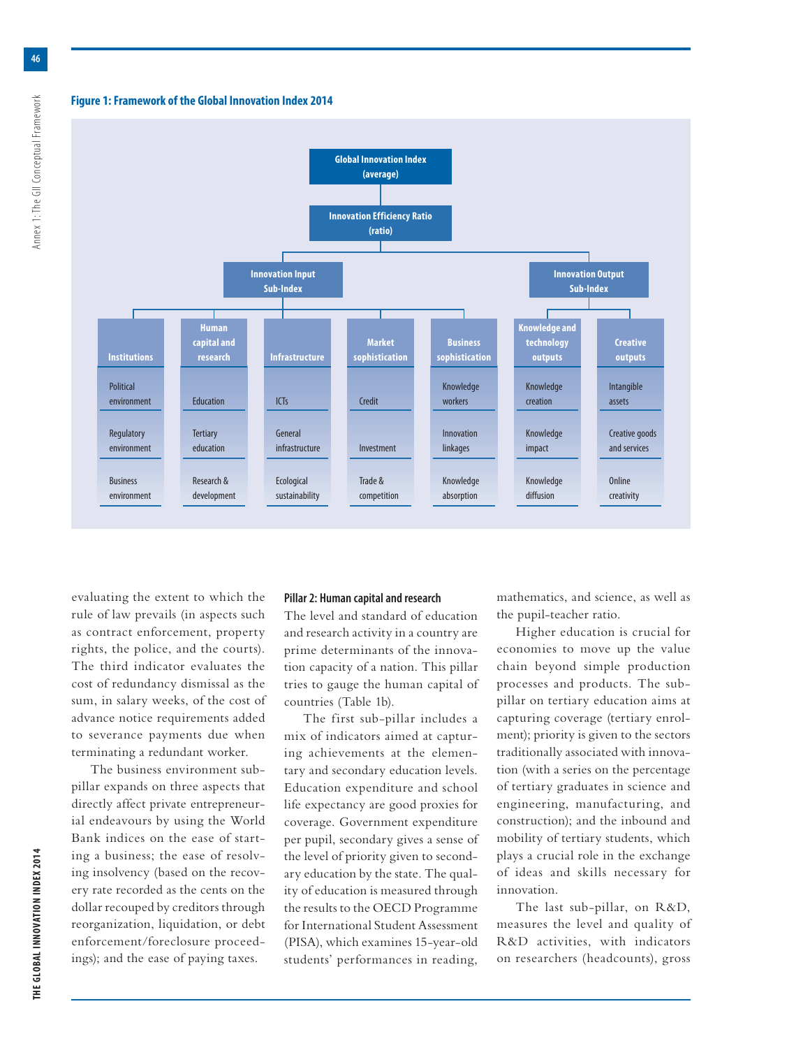#### **Figure 1: Framework of the Global Innovation Index 2014**



evaluating the extent to which the rule of law prevails (in aspects such as contract enforcement, property rights, the police, and the courts). The third indicator evaluates the cost of redundancy dismissal as the sum, in salary weeks, of the cost of advance notice requirements added to severance payments due when terminating a redundant worker.

The business environment subpillar expands on three aspects that directly affect private entrepreneurial endeavours by using the World Bank indices on the ease of starting a business; the ease of resolving insolvency (based on the recovery rate recorded as the cents on the dollar recouped by creditors through reorganization, liquidation, or debt enforcement/foreclosure proceedings); and the ease of paying taxes.

#### **Pillar 2: Human capital and research**

The level and standard of education and research activity in a country are prime determinants of the innovation capacity of a nation. This pillar tries to gauge the human capital of countries (Table 1b).

The first sub-pillar includes a mix of indicators aimed at capturing achievements at the elementary and secondary education levels. Education expenditure and school life expectancy are good proxies for coverage. Government expenditure per pupil, secondary gives a sense of the level of priority given to secondary education by the state. The quality of education is measured through the results to the OECD Programme for International Student Assessment (PISA), which examines 15-year-old students' performances in reading,

mathematics, and science, as well as the pupil-teacher ratio.

Higher education is crucial for economies to move up the value chain beyond simple production processes and products. The subpillar on tertiary education aims at capturing coverage (tertiary enrolment); priority is given to the sectors traditionally associated with innovation (with a series on the percentage of tertiary graduates in science and engineering, manufacturing, and construction); and the inbound and mobility of tertiary students, which plays a crucial role in the exchange of ideas and skills necessary for innovation.

The last sub-pillar, on R&D, measures the level and quality of R&D activities, with indicators on researchers (headcounts), gross

**46**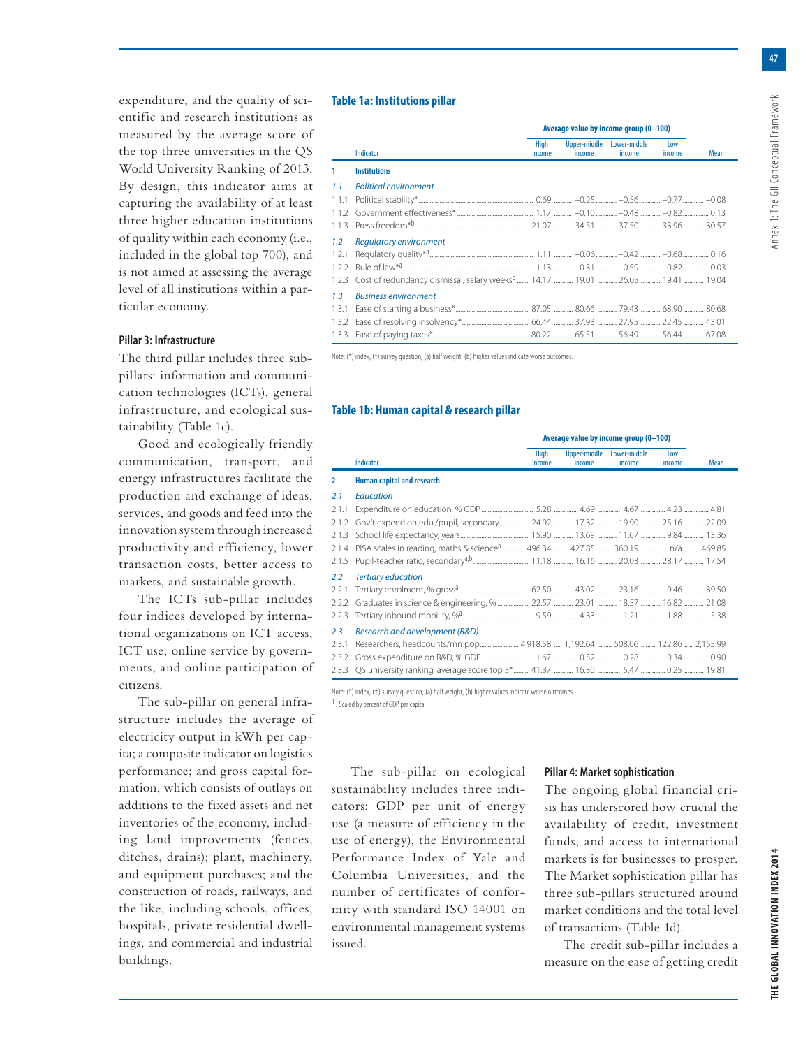**47**

expenditure, and the quality of scientific and research institutions as measured by the average score of the top three universities in the QS World University Ranking of 2013. By design, this indicator aims at capturing the availability of at least three higher education institutions of quality within each economy (i.e., included in the global top 700), and is not aimed at assessing the average level of all institutions within a particular economy.

## **Pillar 3: Infrastructure**

The third pillar includes three subpillars: information and communication technologies (ICTs), general infrastructure, and ecological sustainability (Table 1c).

Good and ecologically friendly communication, transport, and energy infrastructures facilitate the production and exchange of ideas, services, and goods and feed into the innovation system through increased productivity and efficiency, lower transaction costs, better access to markets, and sustainable growth.

The ICTs sub-pillar includes four indices developed by international organizations on ICT access, ICT use, online service by governments, and online participation of citizens.

The sub-pillar on general infrastructure includes the average of electricity output in kWh per capita; a composite indicator on logistics performance; and gross capital formation, which consists of outlays on additions to the fixed assets and net inventories of the economy, including land improvements (fences, ditches, drains); plant, machinery, and equipment purchases; and the construction of roads, railways, and the like, including schools, offices, hospitals, private residential dwellings, and commercial and industrial buildings.

#### **Table 1a: Institutions pillar**

|               |                                                                                                 | Average value by income group (0-100) |                                     |        |               |             |
|---------------|-------------------------------------------------------------------------------------------------|---------------------------------------|-------------------------------------|--------|---------------|-------------|
|               | Indicator                                                                                       | High<br>income                        | Upper-middle Lower-middle<br>income | income | Low<br>income | <b>Mean</b> |
| 1             | <b>Institutions</b>                                                                             |                                       |                                     |        |               |             |
| 1.1           | <b>Political environment</b>                                                                    |                                       |                                     |        |               |             |
| 1.1.1         |                                                                                                 |                                       |                                     |        |               |             |
|               |                                                                                                 |                                       |                                     |        |               |             |
|               |                                                                                                 |                                       |                                     |        |               |             |
| $1.2^{\circ}$ | <b>Regulatory environment</b>                                                                   |                                       |                                     |        |               |             |
|               |                                                                                                 |                                       |                                     |        |               |             |
|               |                                                                                                 |                                       |                                     |        |               |             |
|               | 1.2.3 Cost of redundancy dismissal, salary weeks <sup>b</sup> 14.17  19.01  26.05  19.41  19.04 |                                       |                                     |        |               |             |
| 1.3           | <b>Business environment</b>                                                                     |                                       |                                     |        |               |             |
|               |                                                                                                 |                                       |                                     |        |               |             |
|               |                                                                                                 |                                       |                                     |        |               |             |
|               |                                                                                                 |                                       |                                     |        |               |             |

Note: (\*) index, (†) survey question, (a) half weight, (b) higher values indicate worse outcomes.

#### **Table 1b: Human capital & research pillar**

|                |                                                                                          | Average value by income group (0-100) |                        |                        |               |      |
|----------------|------------------------------------------------------------------------------------------|---------------------------------------|------------------------|------------------------|---------------|------|
|                | <b>Indicator</b>                                                                         | High<br>income                        | Upper-middle<br>income | Lower-middle<br>income | Low<br>income | Mean |
| $\overline{2}$ | <b>Human capital and research</b>                                                        |                                       |                        |                        |               |      |
| 2.1            | <b>Education</b>                                                                         |                                       |                        |                        |               |      |
| 2.1.1          |                                                                                          |                                       |                        |                        |               |      |
| 2.1.2          |                                                                                          |                                       |                        |                        |               |      |
| 2.1.3          |                                                                                          |                                       |                        |                        |               |      |
| 2.1.4          | PISA scales in reading, maths & science <sup>a</sup> 496.34  427.85  360.19  n/a  469.85 |                                       |                        |                        |               |      |
| 2.1.5          |                                                                                          |                                       |                        |                        |               |      |
| 2.2            | <b>Tertiary education</b>                                                                |                                       |                        |                        |               |      |
| 2.2.1          |                                                                                          |                                       |                        |                        |               |      |
| 2.2.2          |                                                                                          |                                       |                        |                        |               |      |
| 2.2.3          |                                                                                          |                                       |                        |                        |               |      |
| 2.3            | Research and development (R&D)                                                           |                                       |                        |                        |               |      |
| 2.3.1          |                                                                                          |                                       |                        |                        |               |      |
| 2.3.2          |                                                                                          |                                       |                        |                        |               |      |
|                |                                                                                          |                                       |                        |                        |               |      |

Note: (\*) index, (†) survey question, (a) half weight, (b) higher values indicate worse outcomes.

1 Scaled by percent of GDP per capita.

The sub-pillar on ecological sustainability includes three indicators: GDP per unit of energy use (a measure of efficiency in the use of energy), the Environmental Performance Index of Yale and Columbia Universities, and the number of certificates of conformity with standard ISO 14001 on environmental management systems issued.

#### **Pillar 4: Market sophistication**

The ongoing global financial crisis has underscored how crucial the availability of credit, investment funds, and access to international markets is for businesses to prosper. The Market sophistication pillar has three sub-pillars structured around market conditions and the total level of transactions (Table 1d).

The credit sub-pillar includes a measure on the ease of getting credit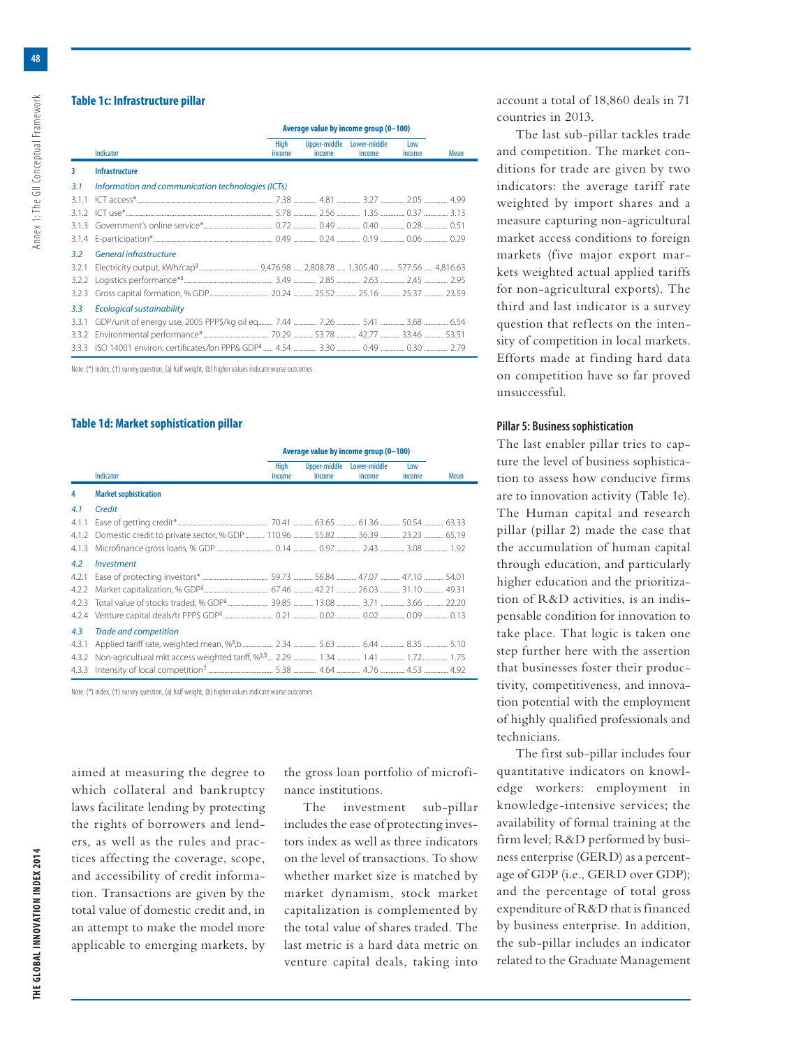Annex 1: The GII Conceptual Framework

## **Table 1c: Infrastructure pillar**

|       |                                                   | Average value by income group (0-100) |                        |                        |               |      |
|-------|---------------------------------------------------|---------------------------------------|------------------------|------------------------|---------------|------|
|       | Indicator                                         | High<br>income                        | Upper-middle<br>income | Lower-middle<br>income | Low<br>income | Mean |
| 3     | <b>Infrastructure</b>                             |                                       |                        |                        |               |      |
| 3.1   | Information and communication technologies (ICTs) |                                       |                        |                        |               |      |
| 3.1.1 |                                                   |                                       |                        |                        |               |      |
| 3.1.2 |                                                   |                                       |                        |                        |               |      |
| 3.1.3 |                                                   |                                       |                        |                        |               |      |
| 3.1.4 |                                                   |                                       |                        |                        |               |      |
| 3.2   | <b>General infrastructure</b>                     |                                       |                        |                        |               |      |
| 3.2.1 |                                                   |                                       |                        |                        |               |      |
| 3.2.2 |                                                   |                                       |                        |                        |               |      |
| 3.2.3 |                                                   |                                       |                        |                        |               |      |
| 3.3   | <b>Ecological sustainability</b>                  |                                       |                        |                        |               |      |
| 3.3.1 |                                                   |                                       |                        |                        |               |      |
| 3.3.2 |                                                   |                                       |                        |                        |               |      |
| 3.3.3 |                                                   |                                       |                        |                        |               |      |

Note: (\*) index, (†) survey question, (a) half weight, (b) higher values indicate worse outcomes.

#### **Table 1d: Market sophistication pillar**

|       |                              | Average value by income group (0-100) |                        |                        |               |      |
|-------|------------------------------|---------------------------------------|------------------------|------------------------|---------------|------|
|       | Indicator                    | High<br>income                        | Upper-middle<br>income | Lower-middle<br>income | Low<br>income | Mean |
| 4     | <b>Market sophistication</b> |                                       |                        |                        |               |      |
| 4.1   | Credit                       |                                       |                        |                        |               |      |
| 4.1.1 |                              |                                       |                        |                        |               |      |
| 4.1.2 |                              |                                       |                        |                        |               |      |
| 4.1.3 |                              |                                       |                        |                        |               |      |
| 4.2   | Investment                   |                                       |                        |                        |               |      |
| 4.2.1 |                              |                                       |                        |                        |               |      |
| 4.2.2 |                              |                                       |                        |                        |               |      |
|       |                              |                                       |                        |                        |               |      |
| 4.2.4 |                              |                                       |                        |                        |               |      |
| 4.3   | <b>Trade and competition</b> |                                       |                        |                        |               |      |
| 4.3.1 |                              |                                       |                        |                        |               |      |
| 4.3.2 |                              |                                       |                        |                        |               |      |
|       |                              |                                       |                        |                        |               |      |

Note: (\*) index, (†) survey question, (a) half weight, (b) higher values indicate worse outcomes.

aimed at measuring the degree to which collateral and bankruptcy laws facilitate lending by protecting the rights of borrowers and lenders, as well as the rules and practices affecting the coverage, scope, and accessibility of credit information. Transactions are given by the total value of domestic credit and, in an attempt to make the model more applicable to emerging markets, by the gross loan portfolio of microfinance institutions.

The investment sub-pillar includes the ease of protecting investors index as well as three indicators on the level of transactions. To show whether market size is matched by market dynamism, stock market capitalization is complemented by the total value of shares traded. The last metric is a hard data metric on venture capital deals, taking into

account a total of 18,860 deals in 71 countries in 2013.

The last sub-pillar tackles trade and competition. The market conditions for trade are given by two indicators: the average tariff rate weighted by import shares and a measure capturing non-agricultural market access conditions to foreign markets (five major export markets weighted actual applied tariffs for non-agricultural exports). The third and last indicator is a survey question that reflects on the intensity of competition in local markets. Efforts made at finding hard data on competition have so far proved unsuccessful.

#### **Pillar 5: Business sophistication**

The last enabler pillar tries to capture the level of business sophistication to assess how conducive firms are to innovation activity (Table 1e). The Human capital and research pillar (pillar 2) made the case that the accumulation of human capital through education, and particularly higher education and the prioritization of R&D activities, is an indispensable condition for innovation to take place. That logic is taken one step further here with the assertion that businesses foster their productivity, competitiveness, and innovation potential with the employment of highly qualified professionals and technicians.

The first sub-pillar includes four quantitative indicators on knowledge workers: employment in knowledge-intensive services; the availability of formal training at the firm level; R&D performed by business enterprise (GERD) as a percentage of GDP (i.e., GERD over GDP); and the percentage of total gross expenditure of R&D that is financed by business enterprise. In addition, the sub-pillar includes an indicator related to the Graduate Management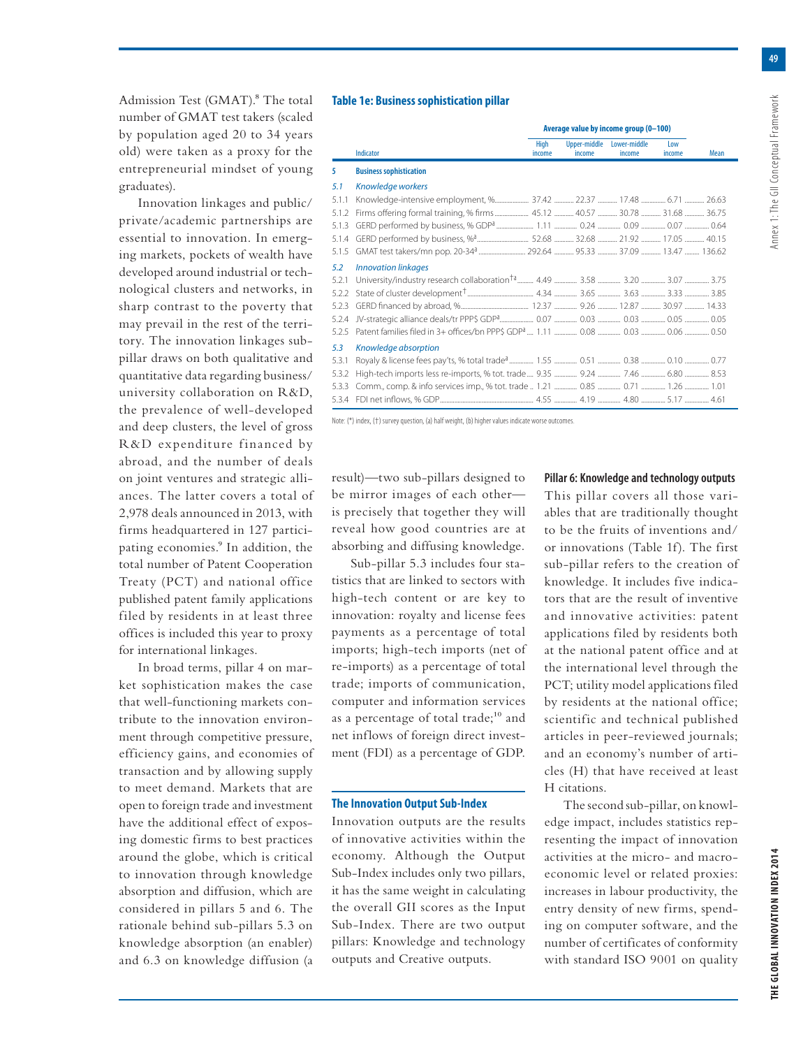**49**

Admission Test (GMAT).<sup>8</sup> The total number of GMAT test takers (scaled by population aged 20 to 34 years old) were taken as a proxy for the entrepreneurial mindset of young graduates).

Innovation linkages and public/ private/academic partnerships are essential to innovation. In emerging markets, pockets of wealth have developed around industrial or technological clusters and networks, in sharp contrast to the poverty that may prevail in the rest of the territory. The innovation linkages subpillar draws on both qualitative and quantitative data regarding business/ university collaboration on R&D, the prevalence of well-developed and deep clusters, the level of gross R&D expenditure financed by abroad, and the number of deals on joint ventures and strategic alliances. The latter covers a total of 2,978 deals announced in 2013, with firms headquartered in 127 participating economies.<sup>9</sup> In addition, the total number of Patent Cooperation Treaty (PCT) and national office published patent family applications filed by residents in at least three offices is included this year to proxy for international linkages.

In broad terms, pillar 4 on market sophistication makes the case that well-functioning markets contribute to the innovation environment through competitive pressure, efficiency gains, and economies of transaction and by allowing supply to meet demand. Markets that are open to foreign trade and investment have the additional effect of exposing domestic firms to best practices around the globe, which is critical to innovation through knowledge absorption and diffusion, which are considered in pillars 5 and 6. The rationale behind sub-pillars 5.3 on knowledge absorption (an enabler) and 6.3 on knowledge diffusion (a

#### **Table 1e: Business sophistication pillar**

|       |                                                                              | Average value by income group (0-100) |                        |                        |               |      |
|-------|------------------------------------------------------------------------------|---------------------------------------|------------------------|------------------------|---------------|------|
|       | Indicator                                                                    | <b>High</b><br>income                 | Upper-middle<br>income | Lower-middle<br>income | Low<br>income | Mean |
| 5     | <b>Business sophistication</b>                                               |                                       |                        |                        |               |      |
| 5.1   | Knowledge workers                                                            |                                       |                        |                        |               |      |
| 5.1.1 | Knowledge-intensive employment, % 37.42  22.37  17.48  6.71  26.63           |                                       |                        |                        |               |      |
| 5.1.2 | Firms offering formal training, % firms 45.12  40.57  30.78  31.68  36.75    |                                       |                        |                        |               |      |
| 5.1.3 |                                                                              |                                       |                        |                        |               |      |
| 5.1.4 |                                                                              |                                       |                        |                        |               |      |
| 5.1.5 |                                                                              |                                       |                        |                        |               |      |
| 5.2   | <b>Innovation linkages</b>                                                   |                                       |                        |                        |               |      |
| 5.2.1 |                                                                              |                                       |                        |                        |               |      |
| 5.2.2 |                                                                              |                                       |                        |                        |               |      |
| 5.2.3 |                                                                              |                                       |                        |                        |               |      |
| 5.2.4 |                                                                              |                                       |                        |                        |               |      |
| 5.2.5 |                                                                              |                                       |                        |                        |               |      |
| 5.3   | Knowledge absorption                                                         |                                       |                        |                        |               |      |
| 5.3.1 |                                                                              |                                       |                        |                        |               |      |
| 5.3.2 | High-tech imports less re-imports, % tot. trade 9.35  9.24  7.46  6.80  8.53 |                                       |                        |                        |               |      |
| 5.3.3 |                                                                              |                                       |                        |                        |               |      |
|       |                                                                              |                                       |                        |                        |               |      |

Note: (\*) index, (†) survey question, (a) half weight, (b) higher values indicate worse outcomes.

result)—two sub-pillars designed to be mirror images of each other is precisely that together they will reveal how good countries are at absorbing and diffusing knowledge.

Sub-pillar 5.3 includes four statistics that are linked to sectors with high-tech content or are key to innovation: royalty and license fees payments as a percentage of total imports; high-tech imports (net of re-imports) as a percentage of total trade; imports of communication, computer and information services as a percentage of total trade;<sup>10</sup> and net inflows of foreign direct investment (FDI) as a percentage of GDP.

#### **The Innovation Output Sub-Index**

Innovation outputs are the results of innovative activities within the economy. Although the Output Sub-Index includes only two pillars, it has the same weight in calculating the overall GII scores as the Input Sub-Index. There are two output pillars: Knowledge and technology outputs and Creative outputs.

## **Pillar 6: Knowledge and technology outputs**

This pillar covers all those variables that are traditionally thought to be the fruits of inventions and/ or innovations (Table 1f). The first sub-pillar refers to the creation of knowledge. It includes five indicators that are the result of inventive and innovative activities: patent applications filed by residents both at the national patent office and at the international level through the PCT; utility model applications filed by residents at the national office; scientific and technical published articles in peer-reviewed journals; and an economy's number of articles (H) that have received at least H citations.

The second sub-pillar, on knowledge impact, includes statistics representing the impact of innovation activities at the micro- and macroeconomic level or related proxies: increases in labour productivity, the entry density of new firms, spending on computer software, and the number of certificates of conformity with standard ISO 9001 on quality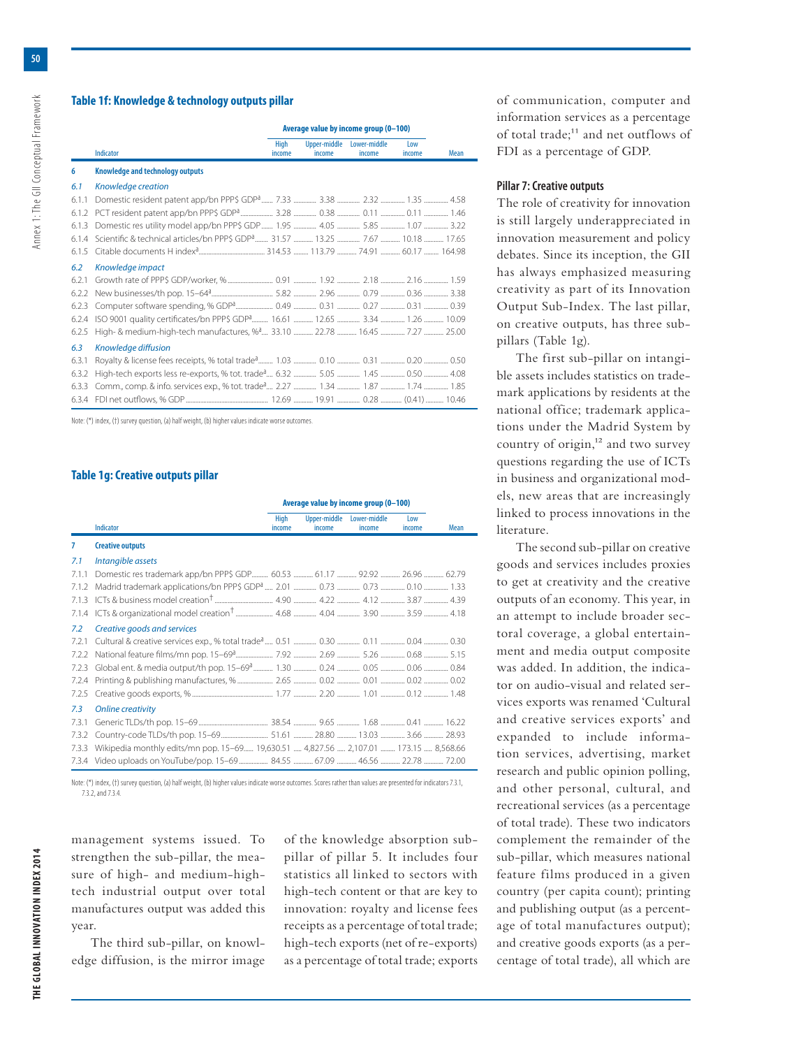Annex 1: The GII Conceptual Framework

# **Table 1f: Knowledge & technology outputs pillar**

|       |                                                                                        | Average value by income group (0-100) |                        |                        |               |      |
|-------|----------------------------------------------------------------------------------------|---------------------------------------|------------------------|------------------------|---------------|------|
|       | Indicator                                                                              | <b>High</b><br>income                 | Upper-middle<br>income | Lower-middle<br>income | Low<br>income | Mean |
| 6     | Knowledge and technology outputs                                                       |                                       |                        |                        |               |      |
| 6.1   | Knowledge creation                                                                     |                                       |                        |                        |               |      |
| 6.1.1 |                                                                                        |                                       |                        |                        |               |      |
| 6.1.2 |                                                                                        |                                       |                        |                        |               |      |
| 6.1.3 |                                                                                        |                                       |                        |                        |               |      |
| 6.1.4 |                                                                                        |                                       |                        |                        |               |      |
| 6.1.5 |                                                                                        |                                       |                        |                        |               |      |
| 6.2   | Knowledge impact                                                                       |                                       |                        |                        |               |      |
| 6.2.1 |                                                                                        |                                       |                        |                        |               |      |
| 6.2.2 |                                                                                        |                                       |                        |                        |               |      |
| 6.2.3 |                                                                                        |                                       |                        |                        |               |      |
| 6.2.4 |                                                                                        |                                       |                        |                        |               |      |
| 6.2.5 | High- & medium-high-tech manufactures, % <sup>3</sup> 33.10  22.78  16.45  7.27  25.00 |                                       |                        |                        |               |      |
| 6.3   | Knowledge diffusion                                                                    |                                       |                        |                        |               |      |
| 6.3.1 |                                                                                        |                                       |                        |                        |               |      |
| 6.3.2 |                                                                                        |                                       |                        |                        |               |      |
| 6.3.3 |                                                                                        |                                       |                        |                        |               |      |
|       | 634 FDI net outflows % GDP<br>1269 1991 028 (0.41) 10.46                               |                                       |                        |                        |               |      |

Note: (\*) index, (†) survey question, (a) half weight, (b) higher values indicate worse outcomes.

# **Table 1g: Creative outputs pillar**

|       |                                                                                                        | Average value by income group (0-100) |                        |                        |               |      |
|-------|--------------------------------------------------------------------------------------------------------|---------------------------------------|------------------------|------------------------|---------------|------|
|       | Indicator                                                                                              | <b>High</b><br>income                 | Upper-middle<br>income | Lower-middle<br>income | Low<br>income | Mean |
| 7     | <b>Creative outputs</b>                                                                                |                                       |                        |                        |               |      |
| 7.1   | Intangible assets                                                                                      |                                       |                        |                        |               |      |
| 7.1.1 |                                                                                                        |                                       |                        |                        |               |      |
| 7.1.2 | Madrid trademark applications/bn PPP\$ GDP <sup>a</sup> 2.01  0.73  0.10  1.33                         |                                       |                        |                        |               |      |
| 7.1.3 |                                                                                                        |                                       |                        |                        |               |      |
| 7.1.4 |                                                                                                        |                                       |                        |                        |               |      |
| 7.2   | Creative goods and services                                                                            |                                       |                        |                        |               |      |
| 7.2.1 |                                                                                                        |                                       |                        |                        |               |      |
| 7.2.2 |                                                                                                        |                                       |                        |                        |               |      |
| 7.2.3 |                                                                                                        |                                       |                        |                        |               |      |
| 7.2.4 |                                                                                                        |                                       |                        |                        |               |      |
| 7.2.5 |                                                                                                        |                                       |                        |                        |               |      |
| 7.3   | <b>Online creativity</b>                                                                               |                                       |                        |                        |               |      |
| 7.3.1 | 0.41 million 16.22 million 16.22 million 16.22 million 16.22 million 16.22 million 16.41 million 16.22 |                                       |                        |                        |               |      |
| 7.3.2 |                                                                                                        |                                       |                        |                        |               |      |
| 7.3.3 | Wikipedia monthly edits/mn pop. 15–69 19,630.51  4,827.56  2,107.01  173.15  8,568.66                  |                                       |                        |                        |               |      |
|       |                                                                                                        |                                       |                        |                        |               |      |

Note: (\*) index, (†) survey question, (a) half weight, (b) higher values indicate worse outcomes. Scores rather than values are presented for indicators 7.3.1, 7.3.2, and 7.3.4.

management systems issued. To strengthen the sub-pillar, the measure of high- and medium-hightech industrial output over total manufactures output was added this year.

The third sub-pillar, on knowledge diffusion, is the mirror image

of the knowledge absorption subpillar of pillar 5. It includes four statistics all linked to sectors with high-tech content or that are key to innovation: royalty and license fees receipts as a percentage of total trade; high-tech exports (net of re-exports) as a percentage of total trade; exports

of communication, computer and information services as a percentage of total trade;<sup>11</sup> and net outflows of FDI as a percentage of GDP.

# **Pillar 7: Creative outputs**

The role of creativity for innovation is still largely underappreciated in innovation measurement and policy debates. Since its inception, the GII has always emphasized measuring creativity as part of its Innovation Output Sub-Index. The last pillar, on creative outputs, has three subpillars (Table 1g).

The first sub-pillar on intangible assets includes statistics on trademark applications by residents at the national office; trademark applications under the Madrid System by country of  $origin, <sup>12</sup>$  and two survey questions regarding the use of ICTs in business and organizational models, new areas that are increasingly linked to process innovations in the literature.

The second sub-pillar on creative goods and services includes proxies to get at creativity and the creative outputs of an economy. This year, in an attempt to include broader sectoral coverage, a global entertainment and media output composite was added. In addition, the indicator on audio-visual and related services exports was renamed 'Cultural and creative services exports' and expanded to include information services, advertising, market research and public opinion polling, and other personal, cultural, and recreational services (as a percentage of total trade). These two indicators complement the remainder of the sub-pillar, which measures national feature films produced in a given country (per capita count); printing and publishing output (as a percentage of total manufactures output); and creative goods exports (as a percentage of total trade), all which are